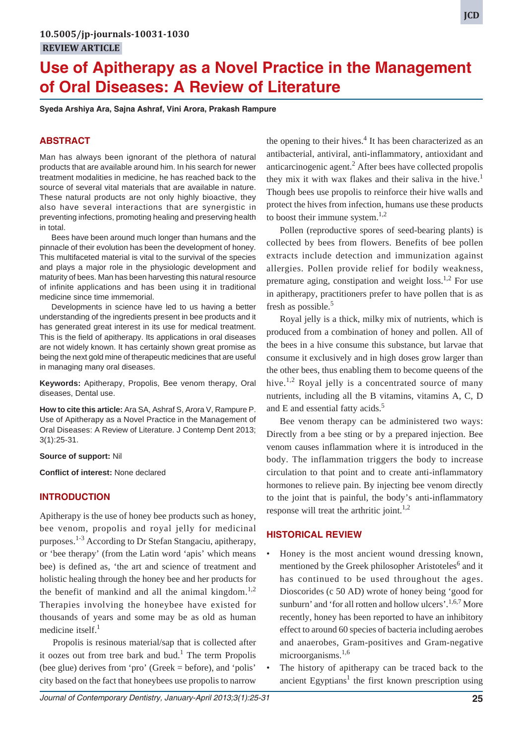**Syeda Arshiya Ara, Sajna Ashraf, Vini Arora, Prakash Rampure**

### **ABSTRACT**

Man has always been ignorant of the plethora of natural products that are available around him. In his search for newer treatment modalities in medicine, he has reached back to the source of several vital materials that are available in nature. These natural products are not only highly bioactive, they also have several interactions that are synergistic in preventing infections, promoting healing and preserving health in total.

Bees have been around much longer than humans and the pinnacle of their evolution has been the development of honey. This multifaceted material is vital to the survival of the species and plays a major role in the physiologic development and maturity of bees. Man has been harvesting this natural resource of infinite applications and has been using it in traditional medicine since time immemorial.

Developments in science have led to us having a better understanding of the ingredients present in bee products and it has generated great interest in its use for medical treatment. This is the field of apitherapy. Its applications in oral diseases are not widely known. It has certainly shown great promise as being the next gold mine of therapeutic medicines that are useful in managing many oral diseases.

**Keywords:** Apitherapy, Propolis, Bee venom therapy, Oral diseases, Dental use.

**How to cite this article:** Ara SA, Ashraf S, Arora V, Rampure P. Use of Apitherapy as a Novel Practice in the Management of Oral Diseases: A Review of Literature. J Contemp Dent 2013; 3(1):25-31.

#### **Source of support:** Nil

**Conflict of interest:** None declared

## **INTRODUCTION**

Apitherapy is the use of honey bee products such as honey, bee venom, propolis and royal jelly for medicinal purposes.1-3 According to Dr Stefan Stangaciu, apitherapy, or 'bee therapy' (from the Latin word 'apis' which means bee) is defined as, 'the art and science of treatment and holistic healing through the honey bee and her products for the benefit of mankind and all the animal kingdom.<sup>1,2</sup> Therapies involving the honeybee have existed for thousands of years and some may be as old as human medicine itself. $<sup>1</sup>$ </sup>

Propolis is resinous material/sap that is collected after it oozes out from tree bark and bud.<sup>1</sup> The term Propolis (bee glue) derives from 'pro' (Greek = before), and 'polis' city based on the fact that honeybees use propolis to narrow

the opening to their hives.<sup>4</sup> It has been characterized as an antibacterial, antiviral, anti-inflammatory, antioxidant and anticarcinogenic agent. $<sup>2</sup>$  After bees have collected propolis</sup> they mix it with wax flakes and their saliva in the hive.<sup>1</sup> Though bees use propolis to reinforce their hive walls and protect the hives from infection, humans use these products to boost their immune system. $1,2$ 

Pollen (reproductive spores of seed-bearing plants) is collected by bees from flowers. Benefits of bee pollen extracts include detection and immunization against allergies. Pollen provide relief for bodily weakness, premature aging, constipation and weight  $loss.<sup>1,2</sup>$  For use in apitherapy, practitioners prefer to have pollen that is as fresh as possible.<sup>5</sup>

Royal jelly is a thick, milky mix of nutrients, which is produced from a combination of honey and pollen. All of the bees in a hive consume this substance, but larvae that consume it exclusively and in high doses grow larger than the other bees, thus enabling them to become queens of the hive.<sup>1,2</sup> Royal jelly is a concentrated source of many nutrients, including all the B vitamins, vitamins A, C, D and E and essential fatty acids.<sup>5</sup>

Bee venom therapy can be administered two ways: Directly from a bee sting or by a prepared injection. Bee venom causes inflammation where it is introduced in the body. The inflammation triggers the body to increase circulation to that point and to create anti-inflammatory hormones to relieve pain. By injecting bee venom directly to the joint that is painful, the body's anti-inflammatory response will treat the arthritic joint.<sup>1,2</sup>

## **HISTORICAL REVIEW**

- Honey is the most ancient wound dressing known, mentioned by the Greek philosopher Aristoteles<sup>6</sup> and it has continued to be used throughout the ages. Dioscorides (c 50 AD) wrote of honey being 'good for sunburn' and 'for all rotten and hollow ulcers'.<sup>1,6,7</sup> More recently, honey has been reported to have an inhibitory effect to around 60 species of bacteria including aerobes and anaerobes, Gram-positives and Gram-negative microorganisms.<sup>1,6</sup>
- The history of apitherapy can be traced back to the ancient Egyptians<sup>1</sup> the first known prescription using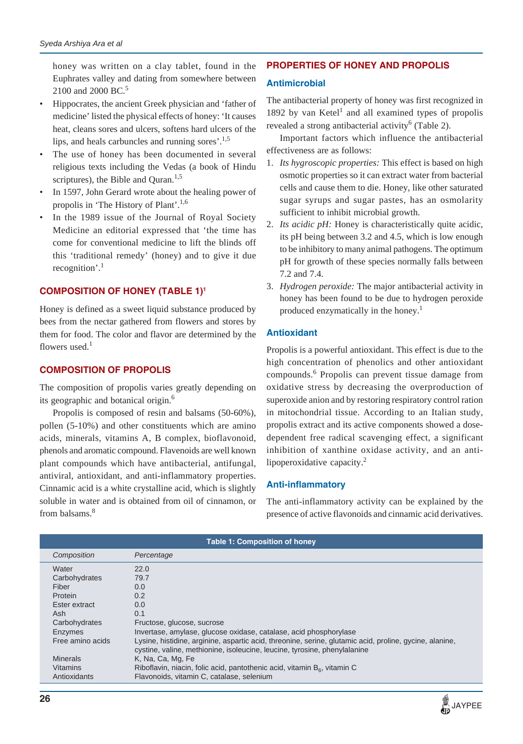honey was written on a clay tablet, found in the Euphrates valley and dating from somewhere between 2100 and 2000 BC.<sup>5</sup>

- Hippocrates, the ancient Greek physician and 'father of medicine' listed the physical effects of honey: 'It causes heat, cleans sores and ulcers, softens hard ulcers of the lips, and heals carbuncles and running sores'.1,5
- The use of honey has been documented in several religious texts including the Vedas (a book of Hindu scriptures), the Bible and Quran.<sup>1,5</sup>
- In 1597, John Gerard wrote about the healing power of propolis in 'The History of Plant'.1,6
- In the 1989 issue of the Journal of Royal Society Medicine an editorial expressed that 'the time has come for conventional medicine to lift the blinds off this 'traditional remedy' (honey) and to give it due recognition'.<sup>1</sup>

# **COMPOSITION OF HONEY (TABLE 1)1**

Honey is defined as a sweet liquid substance produced by bees from the nectar gathered from flowers and stores by them for food. The color and flavor are determined by the flowers used. $<sup>1</sup>$ </sup>

## **COMPOSITION OF PROPOLIS**

The composition of propolis varies greatly depending on its geographic and botanical origin.6

Propolis is composed of resin and balsams (50-60%), pollen (5-10%) and other constituents which are amino acids, minerals, vitamins A, B complex, bioflavonoid, phenols and aromatic compound. Flavenoids are well known plant compounds which have antibacterial, antifungal, antiviral, antioxidant, and anti-inflammatory properties. Cinnamic acid is a white crystalline acid, which is slightly soluble in water and is obtained from oil of cinnamon, or from balsams.<sup>8</sup>

## **PROPERTIES OF HONEY AND PROPOLIS**

### **Antimicrobial**

The antibacterial property of honey was first recognized in 1892 by van Ketel<sup>1</sup> and all examined types of propolis revealed a strong antibacterial activity<sup>6</sup> (Table 2).

Important factors which influence the antibacterial effectiveness are as follows:

- 1. *Its hygroscopic properties:* This effect is based on high osmotic properties so it can extract water from bacterial cells and cause them to die. Honey, like other saturated sugar syrups and sugar pastes, has an osmolarity sufficient to inhibit microbial growth.
- 2. *Its acidic pH:* Honey is characteristically quite acidic, its pH being between 3.2 and 4.5, which is low enough to be inhibitory to many animal pathogens. The optimum pH for growth of these species normally falls between 7.2 and 7.4.
- 3. *Hydrogen peroxide:* The major antibacterial activity in honey has been found to be due to hydrogen peroxide produced enzymatically in the honey.<sup>1</sup>

### **Antioxidant**

Propolis is a powerful antioxidant. This effect is due to the high concentration of phenolics and other antioxidant compounds.<sup>6</sup> Propolis can prevent tissue damage from oxidative stress by decreasing the overproduction of superoxide anion and by restoring respiratory control ration in mitochondrial tissue. According to an Italian study, propolis extract and its active components showed a dosedependent free radical scavenging effect, a significant inhibition of xanthine oxidase activity, and an antilipoperoxidative capacity. $^{2}$ 

## **Anti-inflammatory**

The anti-inflammatory activity can be explained by the presence of active flavonoids and cinnamic acid derivatives.

| <b>Table 1: Composition of honey</b> |                                                                                                                                                                                      |  |
|--------------------------------------|--------------------------------------------------------------------------------------------------------------------------------------------------------------------------------------|--|
| Composition                          | Percentage                                                                                                                                                                           |  |
| Water                                | 22.0                                                                                                                                                                                 |  |
| Carbohydrates                        | 79.7                                                                                                                                                                                 |  |
| Fiber                                | 0.0                                                                                                                                                                                  |  |
| Protein                              | 0.2                                                                                                                                                                                  |  |
| Ester extract                        | 0.0                                                                                                                                                                                  |  |
| Ash                                  | 0.1                                                                                                                                                                                  |  |
| Carbohydrates                        | Fructose, glucose, sucrose                                                                                                                                                           |  |
| <b>Enzymes</b>                       | Invertase, amylase, glucose oxidase, catalase, acid phosphorylase                                                                                                                    |  |
| Free amino acids                     | Lysine, histidine, arginine, aspartic acid, threonine, serine, glutamic acid, proline, gycine, alanine,<br>cystine, valine, methionine, isoleucine, leucine, tyrosine, phenylalanine |  |
| <b>Minerals</b>                      | K, Na, Ca, Mg, Fe                                                                                                                                                                    |  |
| <b>Vitamins</b>                      | Riboflavin, niacin, folic acid, pantothenic acid, vitamin $B_{\alpha}$ , vitamin C                                                                                                   |  |
| Antioxidants                         | Flavonoids, vitamin C, catalase, selenium                                                                                                                                            |  |

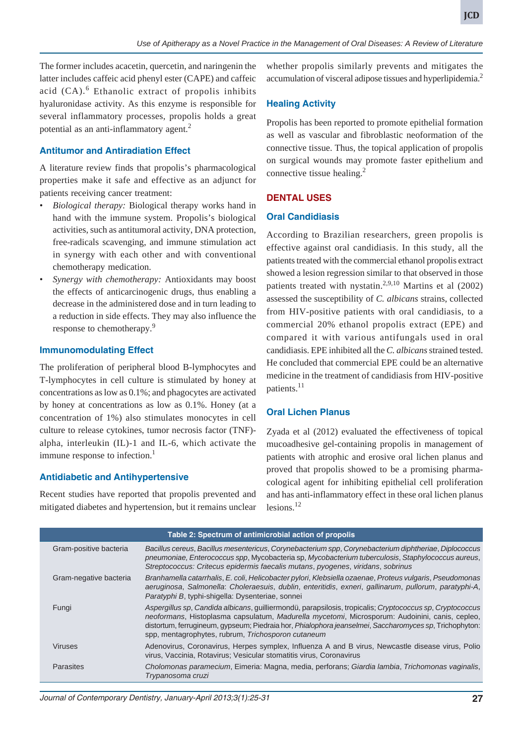The former includes acacetin, quercetin, and naringenin the latter includes caffeic acid phenyl ester (CAPE) and caffeic acid (CA).<sup>6</sup> Ethanolic extract of propolis inhibits hyaluronidase activity. As this enzyme is responsible for several inflammatory processes, propolis holds a great potential as an anti-inflammatory agent.<sup>2</sup>

### **Antitumor and Antiradiation Effect**

A literature review finds that propolis's pharmacological properties make it safe and effective as an adjunct for patients receiving cancer treatment:

- *Biological therapy:* Biological therapy works hand in hand with the immune system. Propolis's biological activities, such as antitumoral activity, DNA protection, free-radicals scavenging, and immune stimulation act in synergy with each other and with conventional chemotherapy medication.
- *Synergy with chemotherapy:* Antioxidants may boost the effects of anticarcinogenic drugs, thus enabling a decrease in the administered dose and in turn leading to a reduction in side effects. They may also influence the response to chemotherapy.9

#### **Immunomodulating Effect**

The proliferation of peripheral blood B-lymphocytes and T-lymphocytes in cell culture is stimulated by honey at concentrations as low as 0.1%; and phagocytes are activated by honey at concentrations as low as 0.1%. Honey (at a concentration of 1%) also stimulates monocytes in cell culture to release cytokines, tumor necrosis factor (TNF) alpha, interleukin (IL)-1 and IL-6, which activate the immune response to infection.<sup>1</sup>

#### **Antidiabetic and Antihypertensive**

Recent studies have reported that propolis prevented and mitigated diabetes and hypertension, but it remains unclear

whether propolis similarly prevents and mitigates the accumulation of visceral adipose tissues and hyperlipidemia.2

### **Healing Activity**

Propolis has been reported to promote epithelial formation as well as vascular and fibroblastic neoformation of the connective tissue. Thus, the topical application of propolis on surgical wounds may promote faster epithelium and connective tissue healing.<sup>2</sup>

#### **DENTAL USES**

#### **Oral Candidiasis**

According to Brazilian researchers, green propolis is effective against oral candidiasis. In this study, all the patients treated with the commercial ethanol propolis extract showed a lesion regression similar to that observed in those patients treated with nystatin.<sup>2,9,10</sup> Martins et al  $(2002)$ assessed the susceptibility of *C. albicans* strains, collected from HIV-positive patients with oral candidiasis, to a commercial 20% ethanol propolis extract (EPE) and compared it with various antifungals used in oral candidiasis. EPE inhibited all the *C. albicans* strained tested. He concluded that commercial EPE could be an alternative medicine in the treatment of candidiasis from HIV-positive patients.<sup>11</sup>

#### **Oral Lichen Planus**

Zyada et al (2012) evaluated the effectiveness of topical mucoadhesive gel-containing propolis in management of patients with atrophic and erosive oral lichen planus and proved that propolis showed to be a promising pharmacological agent for inhibiting epithelial cell proliferation and has anti-inflammatory effect in these oral lichen planus lesions. $^{12}$ 

| Table 2: Spectrum of antimicrobial action of propolis |                        |                                                                                                                                                                                                                                                                                                                                                                            |
|-------------------------------------------------------|------------------------|----------------------------------------------------------------------------------------------------------------------------------------------------------------------------------------------------------------------------------------------------------------------------------------------------------------------------------------------------------------------------|
|                                                       | Gram-positive bacteria | Bacillus cereus, Bacillus mesentericus, Corynebacterium spp, Corynebacterium diphtheriae, Diplococcus<br>pneumoniae, Enterococcus spp, Mycobacteria sp, Mycobacterium tuberculosis, Staphylococcus aureus,<br>Streptococcus: Critecus epidermis faecalis mutans, pyogenes, viridans, sobrinus                                                                              |
|                                                       | Gram-negative bacteria | Branhamella catarrhalis, E. coli, Helicobacter pylori, Klebsiella ozaenae, Proteus vulgaris, Pseudomonas<br>aeruginosa, Salmonella: Choleraesuis, dublin, enteritidis, exneri, gallinarum, pullorum, paratyphi-A,<br>Paratyphi B, typhi-shigella: Dysenteriae, sonnei                                                                                                      |
|                                                       | Fungi                  | Aspergillus sp, Candida albicans, quilliermondü, parapsilosis, tropicalis; Cryptococcus sp, Cryptococcus<br>neoformans, Histoplasma capsulatum, Madurella mycetomi, Microsporum: Audoinini, canis, cepleo,<br>distortum, ferrugineum, gypseum; Piedraia hor, Phialophora jeanselmei, Saccharomyces sp, Trichophyton:<br>spp, mentagrophytes, rubrum, Trichosporon cutaneum |
|                                                       | <b>Viruses</b>         | Adenovirus, Coronavirus, Herpes symplex, Influenza A and B virus, Newcastle disease virus, Polio<br>virus, Vaccinia, Rotavirus; Vesicular stomatitis virus, Coronavirus                                                                                                                                                                                                    |
|                                                       | <b>Parasites</b>       | Cholomonas paramecium, Eimeria: Magna, media, perforans; Giardia lambia, Trichomonas vaginalis,<br>Trypanosoma cruzi                                                                                                                                                                                                                                                       |

*Journal of Contemporary Dentistry, January-April 2013;3(1):25-31* **27**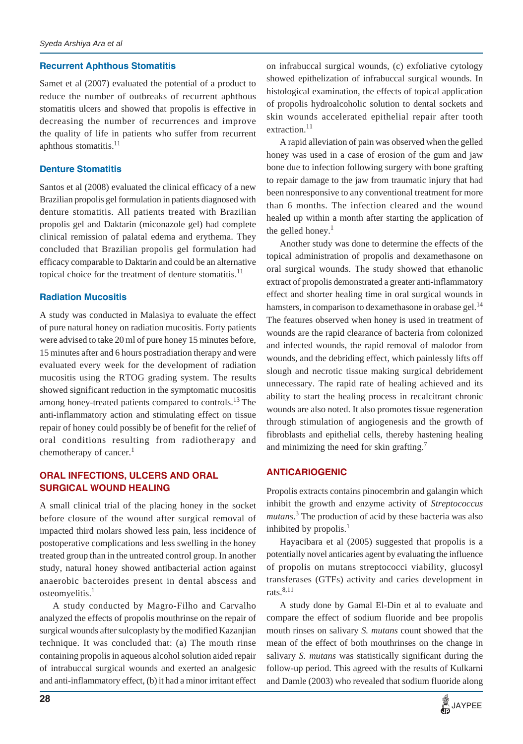#### **Recurrent Aphthous Stomatitis**

Samet et al (2007) evaluated the potential of a product to reduce the number of outbreaks of recurrent aphthous stomatitis ulcers and showed that propolis is effective in decreasing the number of recurrences and improve the quality of life in patients who suffer from recurrent aphthous stomatitis. $11$ 

#### **Denture Stomatitis**

Santos et al (2008) evaluated the clinical efficacy of a new Brazilian propolis gel formulation in patients diagnosed with denture stomatitis. All patients treated with Brazilian propolis gel and Daktarin (miconazole gel) had complete clinical remission of palatal edema and erythema. They concluded that Brazilian propolis gel formulation had efficacy comparable to Daktarin and could be an alternative topical choice for the treatment of denture stomatitis.<sup>11</sup>

## **Radiation Mucositis**

A study was conducted in Malasiya to evaluate the effect of pure natural honey on radiation mucositis. Forty patients were advised to take 20 ml of pure honey 15 minutes before, 15 minutes after and 6 hours postradiation therapy and were evaluated every week for the development of radiation mucositis using the RTOG grading system. The results showed significant reduction in the symptomatic mucositis among honey-treated patients compared to controls.<sup>13</sup> The anti-inflammatory action and stimulating effect on tissue repair of honey could possibly be of benefit for the relief of oral conditions resulting from radiotherapy and chemotherapy of cancer.<sup>1</sup>

## **ORAL INFECTIONS, ULCERS AND ORAL SURGICAL WOUND HEALING**

A small clinical trial of the placing honey in the socket before closure of the wound after surgical removal of impacted third molars showed less pain, less incidence of postoperative complications and less swelling in the honey treated group than in the untreated control group. In another study, natural honey showed antibacterial action against anaerobic bacteroides present in dental abscess and osteomyelitis.<sup>1</sup>

A study conducted by Magro-Filho and Carvalho analyzed the effects of propolis mouthrinse on the repair of surgical wounds after sulcoplasty by the modified Kazanjian technique. It was concluded that: (a) The mouth rinse containing propolis in aqueous alcohol solution aided repair of intrabuccal surgical wounds and exerted an analgesic and anti-inflammatory effect, (b) it had a minor irritant effect

on infrabuccal surgical wounds, (c) exfoliative cytology showed epithelization of infrabuccal surgical wounds. In histological examination, the effects of topical application of propolis hydroalcoholic solution to dental sockets and skin wounds accelerated epithelial repair after tooth extraction. $11$ 

A rapid alleviation of pain was observed when the gelled honey was used in a case of erosion of the gum and jaw bone due to infection following surgery with bone grafting to repair damage to the jaw from traumatic injury that had been nonresponsive to any conventional treatment for more than 6 months. The infection cleared and the wound healed up within a month after starting the application of the gelled honey. $<sup>1</sup>$ </sup>

Another study was done to determine the effects of the topical administration of propolis and dexamethasone on oral surgical wounds. The study showed that ethanolic extract of propolis demonstrated a greater anti-inflammatory effect and shorter healing time in oral surgical wounds in hamsters, in comparison to dexamethasone in orabase gel.<sup>14</sup> The features observed when honey is used in treatment of wounds are the rapid clearance of bacteria from colonized and infected wounds, the rapid removal of malodor from wounds, and the debriding effect, which painlessly lifts off slough and necrotic tissue making surgical debridement unnecessary. The rapid rate of healing achieved and its ability to start the healing process in recalcitrant chronic wounds are also noted. It also promotes tissue regeneration through stimulation of angiogenesis and the growth of fibroblasts and epithelial cells, thereby hastening healing and minimizing the need for skin grafting.<sup>7</sup>

## **ANTICARIOGENIC**

Propolis extracts contains pinocembrin and galangin which inhibit the growth and enzyme activity of *Streptococcus mutans*. 3 The production of acid by these bacteria was also inhibited by propolis. $<sup>1</sup>$ </sup>

Hayacibara et al (2005) suggested that propolis is a potentially novel anticaries agent by evaluating the influence of propolis on mutans streptococci viability, glucosyl transferases (GTFs) activity and caries development in rats. $8,11$ 

A study done by Gamal El-Din et al to evaluate and compare the effect of sodium fluoride and bee propolis mouth rinses on salivary *S. mutans* count showed that the mean of the effect of both mouthrinses on the change in salivary *S. mutans* was statistically significant during the follow-up period. This agreed with the results of Kulkarni and Damle (2003) who revealed that sodium fluoride along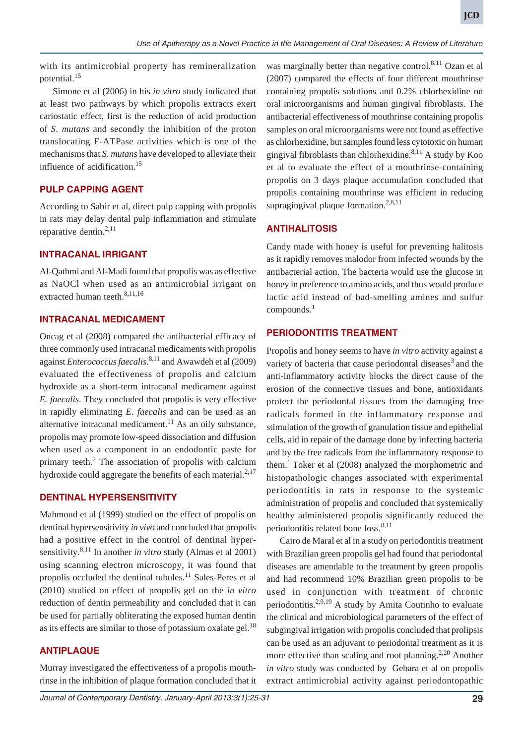with its antimicrobial property has remineralization potential.<sup>15</sup>

Simone et al (2006) in his *in vitro* study indicated that at least two pathways by which propolis extracts exert cariostatic effect, first is the reduction of acid production of *S. mutans* and secondly the inhibition of the proton translocating F-ATPase activities which is one of the mechanisms that *S. mutans* have developed to alleviate their influence of acidification.<sup>15</sup>

## **PULP CAPPING AGENT**

According to Sabir et al, direct pulp capping with propolis in rats may delay dental pulp inflammation and stimulate reparative dentin. $^{2,11}$ 

## **INTRACANAL IRRIGANT**

Al-Qathmi and Al-Madi found that propolis was as effective as NaOCl when used as an antimicrobial irrigant on extracted human teeth.<sup>8,11,16</sup>

## **INTRACANAL MEDICAMENT**

Oncag et al (2008) compared the antibacterial efficacy of three commonly used intracanal medicaments with propolis against *Enterococcus faecalis*. 8,11 and Awawdeh et al (2009) evaluated the effectiveness of propolis and calcium hydroxide as a short-term intracanal medicament against *E. faecalis*. They concluded that propolis is very effective in rapidly eliminating *E. faecalis* and can be used as an alternative intracanal medicament. $^{11}$  As an oily substance, propolis may promote low-speed dissociation and diffusion when used as a component in an endodontic paste for primary teeth.<sup>2</sup> The association of propolis with calcium hydroxide could aggregate the benefits of each material. $2,17$ 

## **DENTINAL HYPERSENSITIVITY**

Mahmoud et al (1999) studied on the effect of propolis on dentinal hypersensitivity *in vivo* and concluded that propolis had a positive effect in the control of dentinal hypersensitivity.8,11 In another *in vitro* study (Almas et al 2001) using scanning electron microscopy, it was found that propolis occluded the dentinal tubules.<sup>11</sup> Sales-Peres et al (2010) studied on effect of propolis gel on the *in vitro* reduction of dentin permeability and concluded that it can be used for partially obliterating the exposed human dentin as its effects are similar to those of potassium oxalate gel. $18$ 

# **ANTIPLAQUE**

Murray investigated the effectiveness of a propolis mouthrinse in the inhibition of plaque formation concluded that it was marginally better than negative control.<sup>8,11</sup> Ozan et al (2007) compared the effects of four different mouthrinse containing propolis solutions and 0.2% chlorhexidine on oral microorganisms and human gingival fibroblasts. The antibacterial effectiveness of mouthrinse containing propolis samples on oral microorganisms were not found as effective as chlorhexidine, but samples found less cytotoxic on human gingival fibroblasts than chlorhexidine. $8,11$  A study by Koo et al to evaluate the effect of a mouthrinse-containing propolis on 3 days plaque accumulation concluded that propolis containing mouthrinse was efficient in reducing supragingival plaque formation.<sup>2,8,11</sup>

## **ANTIHALITOSIS**

Candy made with honey is useful for preventing halitosis as it rapidly removes malodor from infected wounds by the antibacterial action. The bacteria would use the glucose in honey in preference to amino acids, and thus would produce lactic acid instead of bad-smelling amines and sulfur  $compounds<sup>1</sup>$ 

### **PERIODONTITIS TREATMENT**

Propolis and honey seems to have *in vitro* activity against a variety of bacteria that cause periodontal diseases $3$  and the anti-inflammatory activity blocks the direct cause of the erosion of the connective tissues and bone, antioxidants protect the periodontal tissues from the damaging free radicals formed in the inflammatory response and stimulation of the growth of granulation tissue and epithelial cells, aid in repair of the damage done by infecting bacteria and by the free radicals from the inflammatory response to them.<sup>1</sup> Toker et al  $(2008)$  analyzed the morphometric and histopathologic changes associated with experimental periodontitis in rats in response to the systemic administration of propolis and concluded that systemically healthy administered propolis significantly reduced the periodontitis related bone loss.<sup>8,11</sup>

Cairo de Maral et al in a study on periodontitis treatment with Brazilian green propolis gel had found that periodontal diseases are amendable to the treatment by green propolis and had recommend 10% Brazilian green propolis to be used in conjunction with treatment of chronic periodontitis.2,9,19 A study by Amita Coutinho to evaluate the clinical and microbiological parameters of the effect of subgingival irrigation with propolis concluded that prolipsis can be used as an adjuvant to periodontal treatment as it is more effective than scaling and root planning.<sup>2,20</sup> Another *in vitro* study was conducted by Gebara et al on propolis extract antimicrobial activity against periodontopathic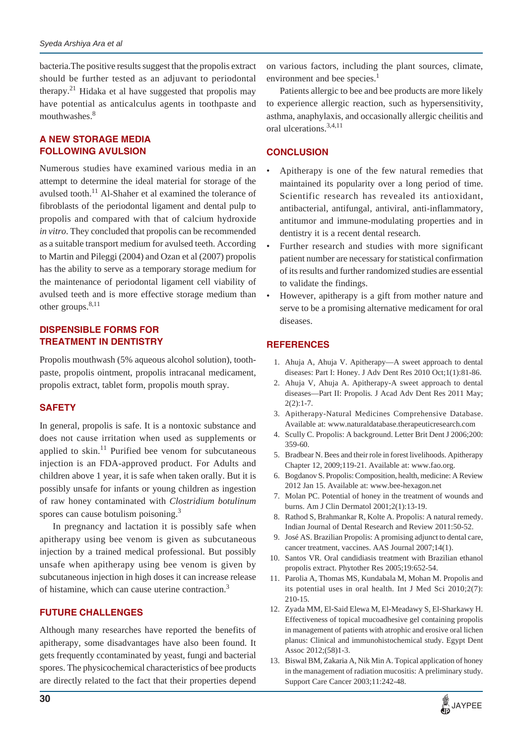bacteria.The positive results suggest that the propolis extract should be further tested as an adjuvant to periodontal therapy.<sup>21</sup> Hidaka et al have suggested that propolis may have potential as anticalculus agents in toothpaste and mouthwashes.<sup>8</sup>

## **A NEW STORAGE MEDIA FOLLOWING AVULSION**

Numerous studies have examined various media in an attempt to determine the ideal material for storage of the avulsed tooth.<sup>11</sup> Al-Shaher et al examined the tolerance of fibroblasts of the periodontal ligament and dental pulp to propolis and compared with that of calcium hydroxide *in vitro*. They concluded that propolis can be recommended as a suitable transport medium for avulsed teeth. According to Martin and Pileggi (2004) and Ozan et al (2007) propolis has the ability to serve as a temporary storage medium for the maintenance of periodontal ligament cell viability of avulsed teeth and is more effective storage medium than other groups. $8,11$ 

## **DISPENSIBLE FORMS FOR TREATMENT IN DENTISTRY**

Propolis mouthwash (5% aqueous alcohol solution), toothpaste, propolis ointment, propolis intracanal medicament, propolis extract, tablet form, propolis mouth spray.

## **SAFETY**

In general, propolis is safe. It is a nontoxic substance and does not cause irritation when used as supplements or applied to skin. $11$  Purified bee venom for subcutaneous injection is an FDA-approved product. For Adults and children above 1 year, it is safe when taken orally. But it is possibly unsafe for infants or young children as ingestion of raw honey contaminated with *Clostridium botulinum* spores can cause botulism poisoning. $3$ 

In pregnancy and lactation it is possibly safe when apitherapy using bee venom is given as subcutaneous injection by a trained medical professional. But possibly unsafe when apitherapy using bee venom is given by subcutaneous injection in high doses it can increase release of histamine, which can cause uterine contraction.3

# **FUTURE CHALLENGES**

Although many researches have reported the benefits of apitherapy, some disadvantages have also been found. It gets frequently ccontaminated by yeast, fungi and bacterial spores. The physicochemical characteristics of bee products are directly related to the fact that their properties depend

on various factors, including the plant sources, climate, environment and bee species.<sup>1</sup>

Patients allergic to bee and bee products are more likely to experience allergic reaction, such as hypersensitivity, asthma, anaphylaxis, and occasionally allergic cheilitis and oral ulcerations.3,4,11

# **CONCLUSION**

- Apitherapy is one of the few natural remedies that maintained its popularity over a long period of time. Scientific research has revealed its antioxidant, antibacterial, antifungal, antiviral, anti-inflammatory, antitumor and immune-modulating properties and in dentistry it is a recent dental research.
- Further research and studies with more significant patient number are necessary for statistical confirmation of its results and further randomized studies are essential to validate the findings.
- However, apitherapy is a gift from mother nature and serve to be a promising alternative medicament for oral diseases.

# **REFERENCES**

- 1. Ahuja A, Ahuja V. Apitherapy—A sweet approach to dental diseases: Part I: Honey. J Adv Dent Res 2010 Oct;1(1):81-86.
- 2. Ahuja V, Ahuja A. Apitherapy-A sweet approach to dental diseases—Part II: Propolis. J Acad Adv Dent Res 2011 May;  $2(2):1-7.$
- 3. Apitherapy-Natural Medicines Comprehensive Database. Available at: www.naturaldatabase.therapeuticresearch.com
- 4. Scully C. Propolis: A background. Letter Brit Dent J 2006;200: 359-60.
- 5. Bradbear N. Bees and their role in forest livelihoods. Apitherapy Chapter 12, 2009;119-21. Available at: www.fao.org.
- 6. Bogdanov S. Propolis: Composition, health, medicine: A Review 2012 Jan 15. Available at: www.bee-hexagon.net
- 7. Molan PC. Potential of honey in the treatment of wounds and burns. Am J Clin Dermatol 2001;2(1):13-19.
- 8. Rathod S, Brahmankar R, Kolte A. Propolis: A natural remedy. Indian Journal of Dental Research and Review 2011:50-52.
- 9. José AS. Brazilian Propolis: A promising adjunct to dental care, cancer treatment, vaccines. AAS Journal 2007;14(1).
- 10. Santos VR. Oral candidiasis treatment with Brazilian ethanol propolis extract. Phytother Res 2005;19:652-54.
- 11. Parolia A, Thomas MS, Kundabala M, Mohan M. Propolis and its potential uses in oral health. Int J Med Sci 2010;2(7): 210-15.
- 12. Zyada MM, El-Said Elewa M, El-Meadawy S, El-Sharkawy H. Effectiveness of topical mucoadhesive gel containing propolis in management of patients with atrophic and erosive oral lichen planus: Clinical and immunohistochemical study. Egypt Dent Assoc 2012;(58)1-3.
- 13. Biswal BM, Zakaria A, Nik Min A. Topical application of honey in the management of radiation mucositis: A preliminary study. Support Care Cancer 2003;11:242-48.